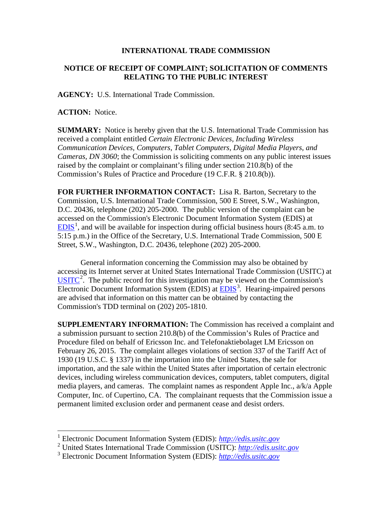## **INTERNATIONAL TRADE COMMISSION**

## **NOTICE OF RECEIPT OF COMPLAINT; SOLICITATION OF COMMENTS RELATING TO THE PUBLIC INTEREST**

**AGENCY:** U.S. International Trade Commission.

**ACTION:** Notice.

 $\overline{a}$ 

**SUMMARY:** Notice is hereby given that the U.S. International Trade Commission has received a complaint entitled *Certain Electronic Devices, Including Wireless Communication Devices, Computers, Tablet Computers, Digital Media Players, and Cameras, DN 3060*; the Commission is soliciting comments on any public interest issues raised by the complaint or complainant's filing under section 210.8(b) of the Commission's Rules of Practice and Procedure (19 C.F.R. § 210.8(b)).

**FOR FURTHER INFORMATION CONTACT:** Lisa R. Barton, Secretary to the Commission, U.S. International Trade Commission, 500 E Street, S.W., Washington, D.C. 20436, telephone (202) 205-2000. The public version of the complaint can be accessed on the Commission's Electronic Document Information System (EDIS) at  $EDIS<sup>1</sup>$  $EDIS<sup>1</sup>$  $EDIS<sup>1</sup>$  $EDIS<sup>1</sup>$ , and will be available for inspection during official business hours (8:45 a.m. to 5:15 p.m.) in the Office of the Secretary, U.S. International Trade Commission, 500 E Street, S.W., Washington, D.C. 20436, telephone (202) 205-2000.

General information concerning the Commission may also be obtained by accessing its Internet server at United States International Trade Commission (USITC) at  $\overline{USTTC}^2$  $\overline{USTTC}^2$ . The public record for this investigation may be viewed on the Commission's Electronic Document Information System (EDIS) at **EDIS**<sup>[3](#page-0-2)</sup>. Hearing-impaired persons are advised that information on this matter can be obtained by contacting the Commission's TDD terminal on (202) 205-1810.

**SUPPLEMENTARY INFORMATION:** The Commission has received a complaint and a submission pursuant to section 210.8(b) of the Commission's Rules of Practice and Procedure filed on behalf of Ericsson Inc. and Telefonaktiebolaget LM Ericsson on February 26, 2015. The complaint alleges violations of section 337 of the Tariff Act of 1930 (19 U.S.C. § 1337) in the importation into the United States, the sale for importation, and the sale within the United States after importation of certain electronic devices, including wireless communication devices, computers, tablet computers, digital media players, and cameras. The complaint names as respondent Apple Inc., a/k/a Apple Computer, Inc. of Cupertino, CA. The complainant requests that the Commission issue a permanent limited exclusion order and permanent cease and desist orders.

<span id="page-0-0"></span><sup>1</sup> Electronic Document Information System (EDIS): *[http://edis.usitc.gov](http://edis.usitc.gov/)*

<span id="page-0-1"></span><sup>2</sup> United States International Trade Commission (USITC): *[http://edis.usitc.gov](http://edis.usitc.gov/)*

<span id="page-0-2"></span><sup>3</sup> Electronic Document Information System (EDIS): *[http://edis.usitc.gov](http://edis.usitc.gov/)*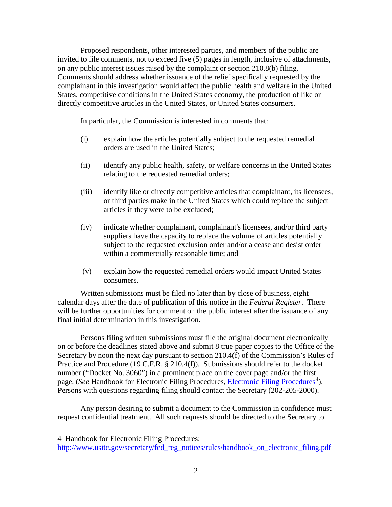Proposed respondents, other interested parties, and members of the public are invited to file comments, not to exceed five (5) pages in length, inclusive of attachments, on any public interest issues raised by the complaint or section 210.8(b) filing. Comments should address whether issuance of the relief specifically requested by the complainant in this investigation would affect the public health and welfare in the United States, competitive conditions in the United States economy, the production of like or directly competitive articles in the United States, or United States consumers.

In particular, the Commission is interested in comments that:

- (i) explain how the articles potentially subject to the requested remedial orders are used in the United States;
- (ii) identify any public health, safety, or welfare concerns in the United States relating to the requested remedial orders;
- (iii) identify like or directly competitive articles that complainant, its licensees, or third parties make in the United States which could replace the subject articles if they were to be excluded;
- (iv) indicate whether complainant, complainant's licensees, and/or third party suppliers have the capacity to replace the volume of articles potentially subject to the requested exclusion order and/or a cease and desist order within a commercially reasonable time; and
- (v) explain how the requested remedial orders would impact United States consumers.

Written submissions must be filed no later than by close of business, eight calendar days after the date of publication of this notice in the *Federal Register*. There will be further opportunities for comment on the public interest after the issuance of any final initial determination in this investigation.

Persons filing written submissions must file the original document electronically on or before the deadlines stated above and submit 8 true paper copies to the Office of the Secretary by noon the next day pursuant to section 210.4(f) of the Commission's Rules of Practice and Procedure (19 C.F.R. § 210.4(f)). Submissions should refer to the docket number ("Docket No. 3060") in a prominent place on the cover page and/or the first page. (*See* Handbook for [Electronic Filing Procedures](http://www.usitc.gov/secretary/fed_reg_notices/rules/handbook_on_electronic_filing.pdf), *Electronic Filing Procedures*<sup>[4](#page-1-0)</sup>). Persons with questions regarding filing should contact the Secretary (202-205-2000).

Any person desiring to submit a document to the Commission in confidence must request confidential treatment. All such requests should be directed to the Secretary to

 $\overline{a}$ 

<span id="page-1-0"></span><sup>4</sup> Handbook for Electronic Filing Procedures:

http://www.usitc.gov/secretary/fed\_reg\_notices/rules/handbook\_on\_electronic\_filing.pdf